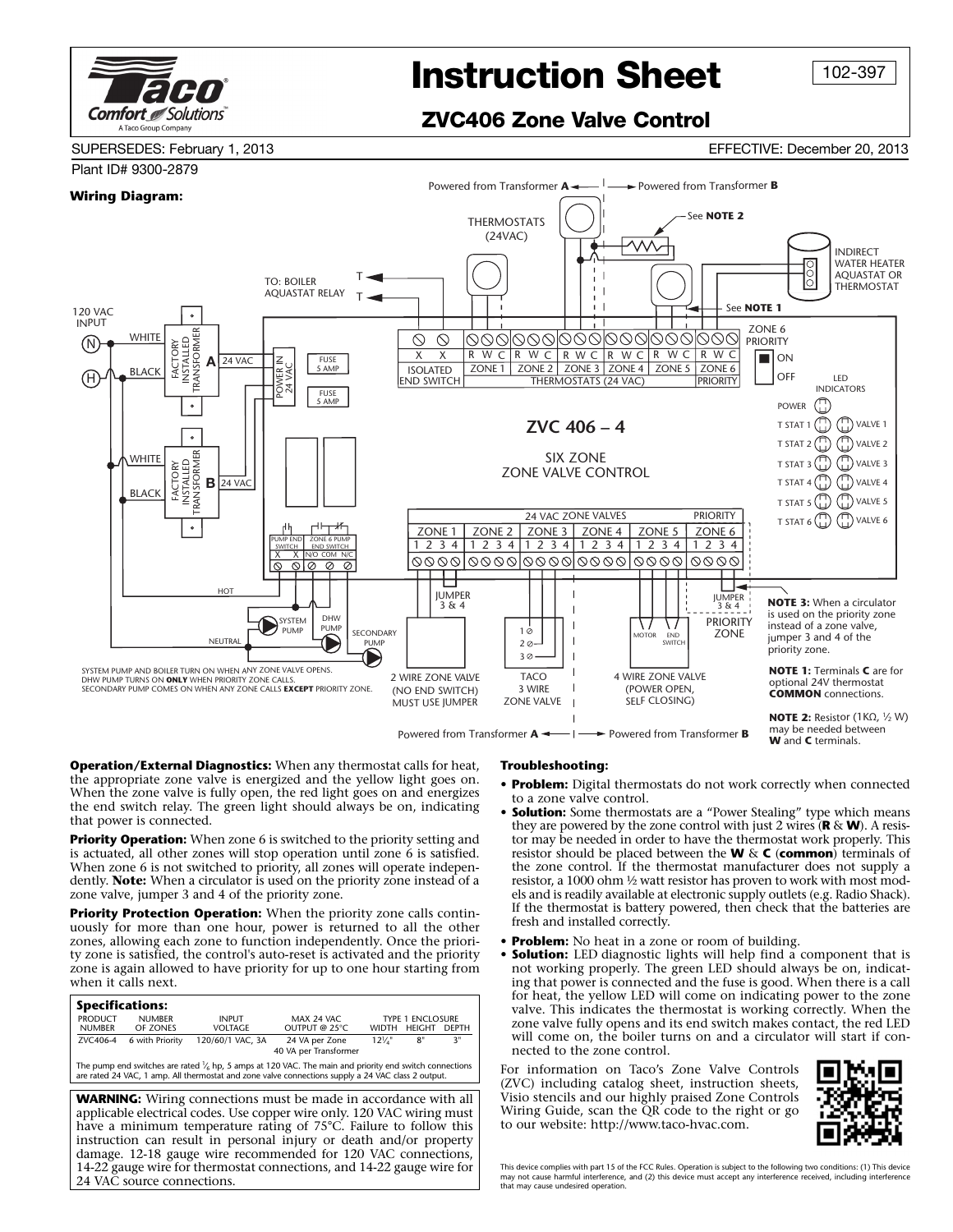

## **Instruction Sheet**

102-397

**ZVC406 Zone Valve Control**

SUPERSEDES: February 1, 2013 EFFECTIVE: December 20, 2013

## Plant ID# 9300-2879 Powered from Transformer  $\mathbf{A} \leftarrow \begin{bmatrix} 1 & 2 \\ 2 & 3 \end{bmatrix}$  Powered from Transformer **B Wiring Diagram:** See **NOTE 2** THERMOSTATS (24VAC) MV. INDIRECT WATER HEATER <u>lõ</u> AQUASTAT OR TTO: BOILER THERMOSTAT AQUASTAT RELAY  $T =$ See **NOTE 1** 120 VAC INPUT INSTALLED ZONE 6 TRANSFORMER **WHITE** 0000000000000000000  $\circlearrowright$  $\circlearrowright$ PRIORITY FACTORY N FACTORY INSTALLED X X **ON** R W C | R W C | R W C | R W C | R W C **A** 24 VAC POWER IN FUSE 5 AMP **BLACK** POWER<br>24 VAC ISOLATED | ZONE 1 | ZONE 2 | ZONE 3 | ZONE 4 | ZONE 5 | ZONE 6 OFF LED H END SWITCH THERMOSTATS (24 VAC) PRIORITY INDICATORS **FUSE** AMP  $\mathbb{C}$  $\circ$ POWER T STAT 1 $\binom{n}{1}$   $\binom{n}{1}$  VALVE 1 **ZVC 406 – 4**  $\bigoplus$   $\bigoplus$  valve 2 TRANSFORMER **WHITE** SIX ZONE  $\binom{n}{1}$  VALVE 3 INSTALLED FACTORY ZONE VALVE CONTROL  $\binom{n}{1}$   $\binom{n}{1}$  valve 4 24 VAC **B** BLACK ⊕ **WALVE 5** T STAT 5 24 VAC ZONE VALVES PRIORITY  $\binom{n}{1}$   $\binom{n}{1}$  valve 6  $\ddot{\phantom{0}}$ ZONE 5 ZONE 6 ZONE 1 ZONE 2 ZONE 3 ZONE 4 PUMP END ZONE 6 PUMP 1 2 3 4 1 2 3 4 1 2 3 4 1 2 3 4 1 2 3 4 1 2 3 4 END SWITCH X X N/O COM N/C 0000|0000|0000|0000|0000| 0000 HOT JUMPER JUMPER **NOTE 3:** When a circulator 3 & 4  $3 & 4$ SYSTEM is used on the priority zone DHW **PRIORITY** \ / \ / instead of a zone valve,  $1\sigma$ PUMP SECONDARY **ZONE** jumper 3 and 4 of the NEUTRAL MOTOR END SWITCH **PUMP** 2 priority zone.  $30.$ SYSTEM PUMP AND BOILER TURN ON WHEN ANY ZONE VALVE OPENS. **NOTE 1:** Terminals **C** are for TACO 4 WIRE ZONE VALVE 2 WIRE ZONE VALVE DHW PUMP TURNS ON **ONLY** WHEN PRIORITY ZONE CALLS. optional 24V thermostat SECONDARY PUMP COMES ON WHEN ANY ZONE CALLS **EXCEPT** PRIORITY ZONE. (NO END SWITCH) 3 WIRE (POWER OPEN, **COMMON** connections. ZONE VALVE SELF CLOSING) MUST USE JUMPER **NOTE 2:** Resistor (1KΩ, 1/2 W) may be needed between

Powered from Transformer  $A \leftarrow \rightarrow$  Powered from Transformer **B** 

**Operation/External Diagnostics:** When any thermostat calls for heat, the appropriate zone valve is energized and the yellow light goes on. When the zone valve is fully open, the red light goes on and energizes the end switch relay. The green light should always be on, indicating that power is connected.

**Priority Operation:** When zone 6 is switched to the priority setting and is actuated, all other zones will stop operation until zone 6 is satisfied. When zone 6 is not switched to priority, all zones will operate independently. **Note:** When a circulator is used on the priority zone instead of a zone valve, jumper 3 and 4 of the priority zone.

**Priority Protection Operation:** When the priority zone calls continuously for more than one hour, power is returned to all the other zones, allowing each zone to function independently. Once the priority zone is satisfied, the control's auto-reset is activated and the priority zone is again allowed to have priority for up to one hour starting from when it calls next.

| <b>Specifications:</b>                                                                                                                                                                                          |                 |                  |                       |                         |               |              |
|-----------------------------------------------------------------------------------------------------------------------------------------------------------------------------------------------------------------|-----------------|------------------|-----------------------|-------------------------|---------------|--------------|
| <b>PRODUCT</b>                                                                                                                                                                                                  | <b>NUMBER</b>   | <b>INPUT</b>     | MAX 24 VAC            | <b>TYPE 1 ENCLOSURE</b> |               |              |
| <b>NUMBER</b>                                                                                                                                                                                                   | OF ZONES        | <b>VOLTAGE</b>   | OUTPUT @ 25°C         | <b>WIDTH</b>            | <b>HEIGHT</b> | <b>DFPTH</b> |
| ZVC406-4                                                                                                                                                                                                        | 6 with Priority | 120/60/1 VAC, 3A | 24 VA per Zone        | $12\frac{1}{4}$         | 8"            | 3"           |
|                                                                                                                                                                                                                 |                 |                  | 40 VA per Transformer |                         |               |              |
| The pump end switches are rated $V_6$ hp, 5 amps at 120 VAC. The main and priority end switch connections<br>are rated 24 VAC, 1 amp. All thermostat and zone valve connections supply a 24 VAC class 2 output. |                 |                  |                       |                         |               |              |
| <b>WARNING:</b> Wiring connections must be made in accordance with all                                                                                                                                          |                 |                  |                       |                         |               |              |
| applicable electrical codes. Use copper wire only. 120 VAC wiring must                                                                                                                                          |                 |                  |                       |                         |               |              |
| have a minimum temperature rating of 75°C. Failure to follow this                                                                                                                                               |                 |                  |                       |                         |               |              |
| instruction can result in personal injury or death and/or property                                                                                                                                              |                 |                  |                       |                         |               |              |
|                                                                                                                                                                                                                 |                 |                  |                       |                         |               |              |
| damage. 12-18 gauge wire recommended for 120 VAC connections,                                                                                                                                                   |                 |                  |                       |                         |               |              |
| 14-22 gauge wire for thermostat connections, and 14-22 gauge wire for                                                                                                                                           |                 |                  |                       |                         |               |              |

24 VAC source connections.

## **Troubleshooting:**

**• Problem:** Digital thermostats do not work correctly when connected to a zone valve control.

**W** and **C** terminals.

- **Solution:** Some thermostats are a "Power Stealing" type which means they are powered by the zone control with just 2 wires  $(\mathbf{R} \& \mathbf{W})$ . A resistor may be needed in order to have the thermostat work properly. This resistor should be placed between the **W** & **C** (**common**) terminals of the zone control. If the thermostat manufacturer does not supply a resistor, a 1000 ohm ½ watt resistor has proven to work with most models and is readily available at electronic supply outlets (e.g. Radio Shack). If the thermostat is battery powered, then check that the batteries are fresh and installed correctly.
- **Problem:** No heat in a zone or room of building.
- **Solution:** LED diagnostic lights will help find a component that is not working properly. The green LED should always be on, indicating that power is connected and the fuse is good. When there is a call for heat, the yellow LED will come on indicating power to the zone valve. This indicates the thermostat is working correctly. When the zone valve fully opens and its end switch makes contact, the red LED will come on, the boiler turns on and a circulator will start if connected to the zone control.

For information on Taco's Zone Valve Controls (ZVC) including catalog sheet, instruction sheets, Visio stencils and our highly praised Zone Controls Wiring Guide, scan the QR code to the right or go to our website: http://www.taco-hvac.com.



This device complies with part 15 of the FCC Rules. Operation is subject to the following two conditions: (1) This device may not cause harmful interference, and (2) this device must accept any interference received, including interference that may cause undesired operation.